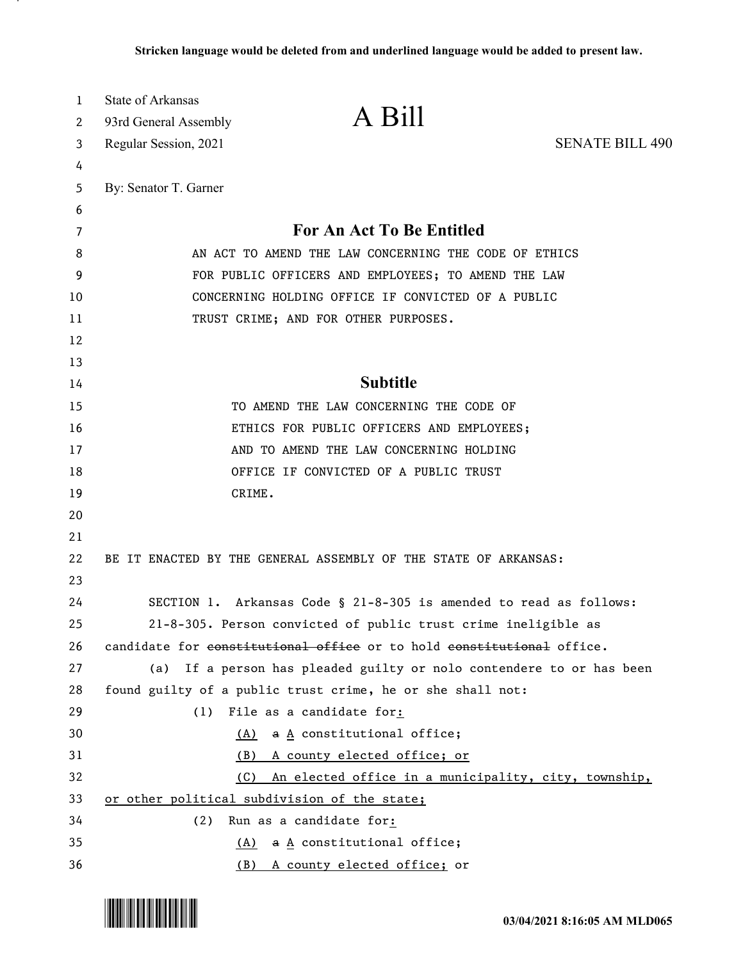| 1  | State of Arkansas                                     |                                                                       |                        |
|----|-------------------------------------------------------|-----------------------------------------------------------------------|------------------------|
| 2  | 93rd General Assembly                                 | A Bill                                                                |                        |
| 3  | Regular Session, 2021                                 |                                                                       | <b>SENATE BILL 490</b> |
| 4  |                                                       |                                                                       |                        |
| 5  | By: Senator T. Garner                                 |                                                                       |                        |
| 6  |                                                       |                                                                       |                        |
| 7  |                                                       | For An Act To Be Entitled                                             |                        |
| 8  | AN ACT TO AMEND THE LAW CONCERNING THE CODE OF ETHICS |                                                                       |                        |
| 9  | FOR PUBLIC OFFICERS AND EMPLOYEES; TO AMEND THE LAW   |                                                                       |                        |
| 10 |                                                       | CONCERNING HOLDING OFFICE IF CONVICTED OF A PUBLIC                    |                        |
| 11 |                                                       | TRUST CRIME; AND FOR OTHER PURPOSES.                                  |                        |
| 12 |                                                       |                                                                       |                        |
| 13 |                                                       |                                                                       |                        |
| 14 |                                                       | <b>Subtitle</b>                                                       |                        |
| 15 |                                                       | TO AMEND THE LAW CONCERNING THE CODE OF                               |                        |
| 16 |                                                       | ETHICS FOR PUBLIC OFFICERS AND EMPLOYEES;                             |                        |
| 17 |                                                       | AND TO AMEND THE LAW CONCERNING HOLDING                               |                        |
| 18 |                                                       | OFFICE IF CONVICTED OF A PUBLIC TRUST                                 |                        |
| 19 |                                                       | CRIME.                                                                |                        |
| 20 |                                                       |                                                                       |                        |
| 21 |                                                       |                                                                       |                        |
| 22 |                                                       | BE IT ENACTED BY THE GENERAL ASSEMBLY OF THE STATE OF ARKANSAS:       |                        |
| 23 |                                                       |                                                                       |                        |
| 24 |                                                       | SECTION 1. Arkansas Code § 21-8-305 is amended to read as follows:    |                        |
| 25 |                                                       | 21-8-305. Person convicted of public trust crime ineligible as        |                        |
| 26 |                                                       | candidate for constitutional office or to hold constitutional office. |                        |
| 27 | (a)                                                   | If a person has pleaded guilty or nolo contendere to or has been      |                        |
| 28 |                                                       | found guilty of a public trust crime, he or she shall not:            |                        |
| 29 | (1)                                                   | File as a candidate for:                                              |                        |
| 30 |                                                       | $\underline{A}$ constitutional office;<br>(A)                         |                        |
| 31 | (B)                                                   | A county elected office; or                                           |                        |
| 32 | (C)                                                   | An elected office in a municipality, city, township,                  |                        |
| 33 | or other political subdivision of the state;          |                                                                       |                        |
| 34 | (2)                                                   | Run as a candidate for:                                               |                        |
| 35 |                                                       | $\underline{A}$ constitutional office;<br>(A)                         |                        |
| 36 | <u>(B)</u>                                            | A county elected office; or                                           |                        |